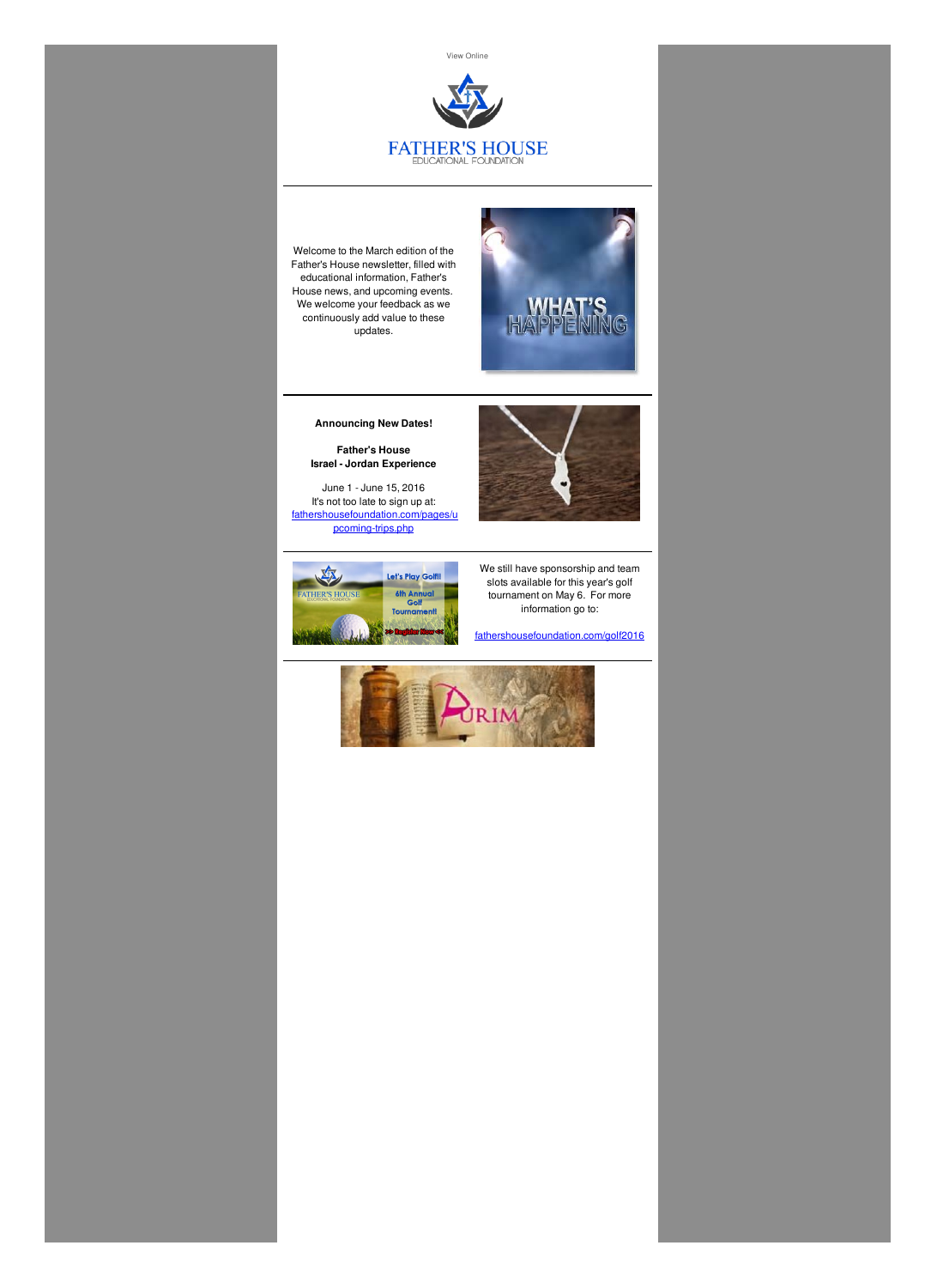View [Online]({VR_HOSTED_LINK})



Welcome to the March edition of the Father's House newsletter, filled with educational information, Father's House news, and upcoming events. We welcome your feedback as we continuously add value to these updates.



**Announcing New Dates!**

**Father's House Israel - Jordan Experience**

June 1 - June 15, 2016 It's not too late to sign up at: [fathershousefoundation.com/pages/u](http://fathershousefoundation.com/pages/upcoming-trips.php) pcoming-trips.php





We still have sponsorship and team slots available for this year's golf tournament on May 6. For more information go to:

[fathershousefoundation.com/golf2016](http://fathershousefoundation.com/golf2016)

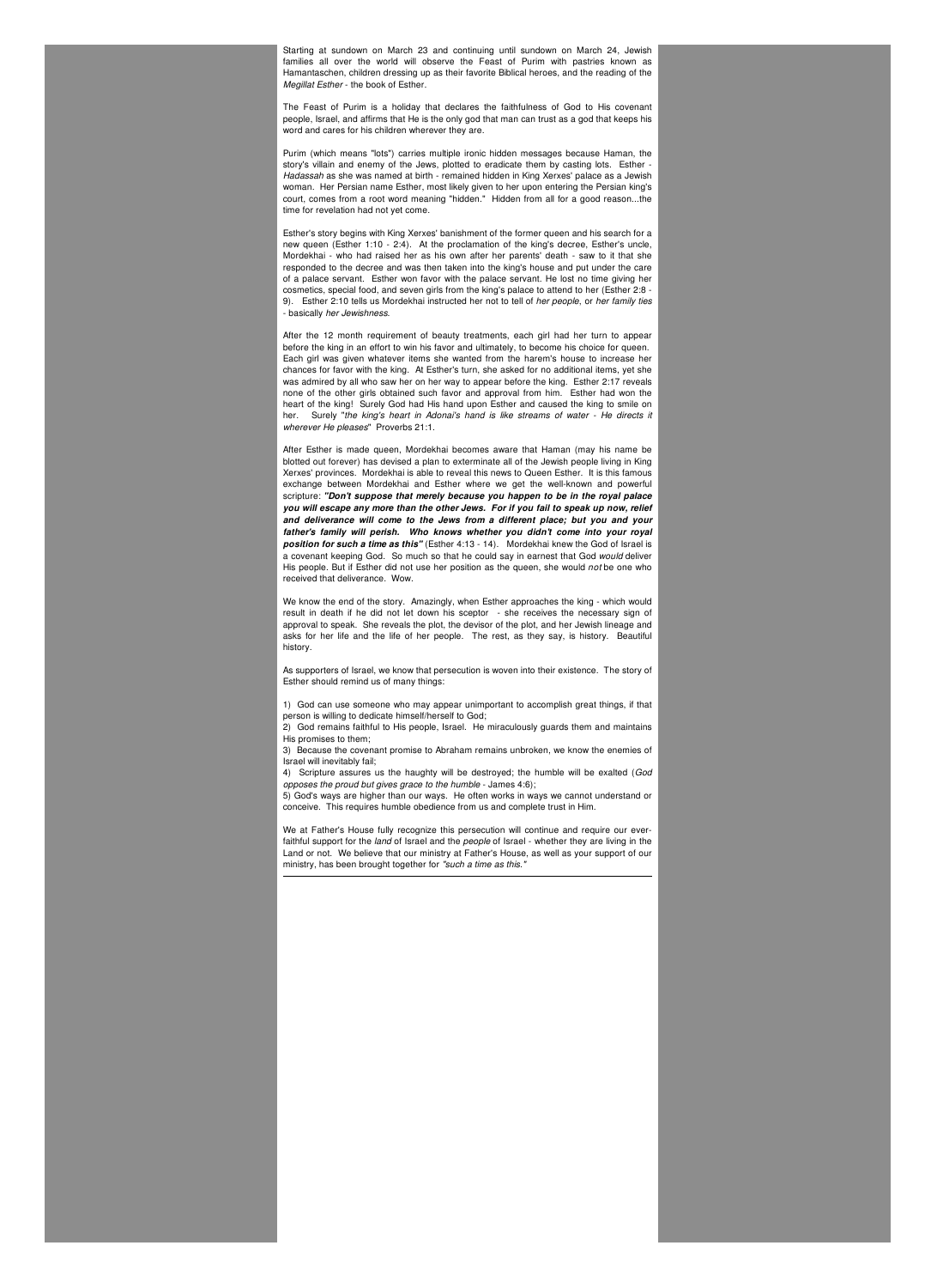Starting at sundown on March 23 and continuing until sundown on March 24, Jewish families all over the world will observe the Feast of Purim with pastries known as Hamantaschen, children dressing up as their favorite Biblical heroes, and the reading of the *Megillat Esther* - the book of Esther.

The Feast of Purim is a holiday that declares the faithfulness of God to His covenant people, Israel, and affirms that He is the only god that man can trust as a god that keeps his word and cares for his children wherever they are.

Purim (which means "lots") carries multiple ironic hidden messages because Haman, the story's villain and enemy of the Jews, plotted to eradicate them by casting lots. Esther - *Hadassah* as she was named at birth - remained hidden in King Xerxes' palace as a Jewish woman. Her Persian name Esther, most likely given to her upon entering the Persian king's court, comes from a root word meaning "hidden." Hidden from all for a good reason...the time for revelation had not yet come.

Esther's story begins with King Xerxes' banishment of the former queen and his search for a new queen (Esther 1:10 - 2:4). At the proclamation of the king's decree, Esther's uncle, Mordekhai - who had raised her as his own after her parents' death - saw to it that she responded to the decree and was then taken into the king's house and put under the care of a palace servant. Esther won favor with the palace servant. He lost no time giving her cosmetics, special food, and seven girls from the king's palace to attend to her (Esther 2:8 - 9). Esther 2:10 tells us Mordekhai instructed her not to tell of *her people*, or *her family ties* - basically *her Jewishness*.

After the 12 month requirement of beauty treatments, each girl had her turn to appear before the king in an effort to win his favor and ultimately, to become his choice for queen. Each girl was given whatever items she wanted from the harem's house to increase her chances for favor with the king. At Esther's turn, she asked for no additional items, yet she was admired by all who saw her on her way to appear before the king. Esther 2:17 reveals none of the other girls obtained such favor and approval from him. Esther had won the heart of the king! Surely God had His hand upon Esther and caused the king to smile on her. Surely "*the king's heart in Adonai's hand is like streams of water - He directs it wherever He pleases*" Proverbs 21:1.

After Esther is made queen, Mordekhai becomes aware that Haman (may his name be blotted out forever) has devised a plan to exterminate all of the Jewish people living in King Xerxes' provinces. Mordekhai is able to reveal this news to Queen Esther. It is this famous exchange between Mordekhai and Esther where we get the well-known and powerful scripture: *"Don't suppose that merely because you happen to be in the royal palace you will escape any more than the other Jews. For if you fail to speak up now, relief and deliverance will come to the Jews from a different place; but you and your father's family will perish. Who knows whether you didn't come into your royal position for such a time as this"* (Esther 4:13 - 14). Mordekhai knew the God of Israel is a covenant keeping God. So much so that he could say in earnest that God *would* deliver His people. But if Esther did not use her position as the queen, she would *not* be one who received that deliverance. Wow.

We know the end of the story. Amazingly, when Esther approaches the king - which would result in death if he did not let down his sceptor - she receives the necessary sign of approval to speak. She reveals the plot, the devisor of the plot, and her Jewish lineage and asks for her life and the life of her people. The rest, as they say, is history. Beautiful history.

As supporters of Israel, we know that persecution is woven into their existence. The story of Esther should remind us of many things:

1) God can use someone who may appear unimportant to accomplish great things, if that person is willing to dedicate himself/herself to God;

2) God remains faithful to His people, Israel. He miraculously guards them and maintains His promises to them;

3) Because the covenant promise to Abraham remains unbroken, we know the enemies of Israel will inevitably fail;

4) Scripture assures us the haughty will be destroyed; the humble will be exalted (*God opposes the proud but gives grace to the humble* - James 4:6);

5) God's ways are higher than our ways. He often works in ways we cannot understand or conceive. This requires humble obedience from us and complete trust in Him.

We at Father's House fully recognize this persecution will continue and require our everfaithful support for the *land* of Israel and the *people* of Israel - whether they are living in the Land or not. We believe that our ministry at Father's House, as well as your support of our ministry, has been brought together for *"such a time as this."*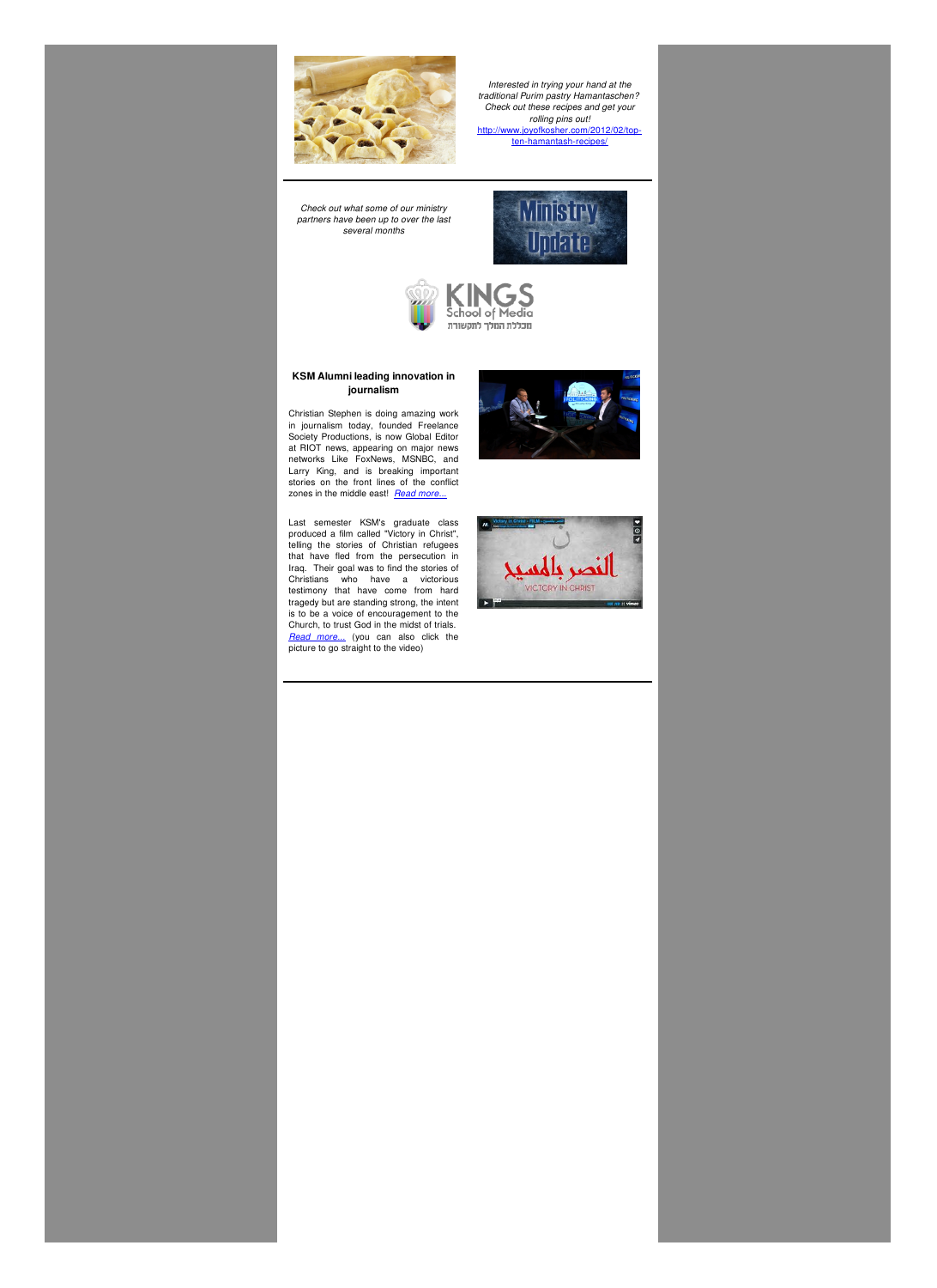

*Interested in trying your hand at the traditional Purim pastry Hamantaschen? Check out these recipes and get your rolling pins out!* [http://www.joyofkosher.com/2012/02/top](http://www.joyofkosher.com/2012/02/top-ten-hamantash-recipes/)ten-hamantash-recipes/

*Check out what some of our ministry partners have been up to over the last several months*





## **KSM Alumni leading innovation in journalism**

Christian Stephen is doing amazing work in journalism today, founded Freelance Society Productions, is now Global Editor at RIOT news, appearing on major news networks Like FoxNews, MSNBC, and Larry King, and is breaking important stories on the front lines of the conflict zones in the middle east! *Read [more...](http://www.kingsschoolofmedia.com/site/ksm-alumni-leading-innovation-in-journalism/)*